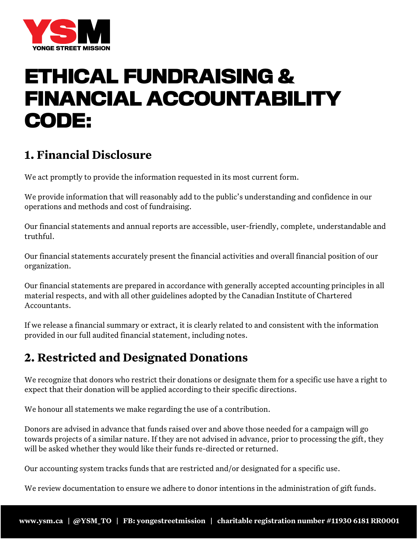

# **ETHICAL FUNDRAISING & FINANCIAL ACCOUNTABILITY CODE:**

### **1. Financial Disclosure**

We act promptly to provide the information requested in its most current form.

We provide information that will reasonably add to the public's understanding and confidence in our operations and methods and cost of fundraising.

Our financial statements and annual reports are accessible, user-friendly, complete, understandable and truthful.

Our financial statements accurately present the financial activities and overall financial position of our organization.

Our financial statements are prepared in accordance with generally accepted accounting principles in all material respects, and with all other guidelines adopted by the Canadian Institute of Chartered Accountants.

If we release a financial summary or extract, it is clearly related to and consistent with the information provided in our full audited financial statement, including notes.

#### **2. Restricted and Designated Donations**

We recognize that donors who restrict their donations or designate them for a specific use have a right to expect that their donation will be applied according to their specific directions.

We honour all statements we make regarding the use of a contribution.

Donors are advised in advance that funds raised over and above those needed for a campaign will go towards projects of a similar nature. If they are not advised in advance, prior to processing the gift, they will be asked whether they would like their funds re-directed or returned.

Our accounting system tracks funds that are restricted and/or designated for a specific use.

We review documentation to ensure we adhere to donor intentions in the administration of gift funds.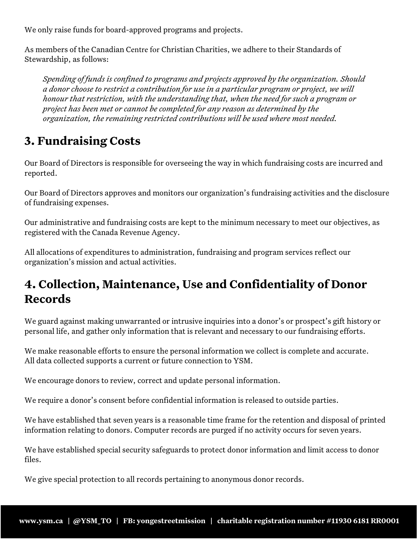We only raise funds for board-approved programs and projects.

As members of the Canadian Centre for Christian Charities, we adhere to their Standards of Stewardship, as follows:

*Spending of funds is confined to programs and projects approved by the organization. Should a donor choose to restrict a contribution for use in a particular program or project, we will honour that restriction, with the understanding that, when the need for such a program or project has been met or cannot be completed for any reason as determined by the organization, the remaining restricted contributions will be used where most needed.*

#### **3. Fundraising Costs**

Our Board of Directors is responsible for overseeing the way in which fundraising costs are incurred and reported.

Our Board of Directors approves and monitors our organization's fundraising activities and the disclosure of fundraising expenses.

Our administrative and fundraising costs are kept to the minimum necessary to meet our objectives, as registered with the Canada Revenue Agency.

All allocations of expenditures to administration, fundraising and program services reflect our organization's mission and actual activities.

#### **4. Collection, Maintenance, Use and Confidentiality of Donor Records**

We guard against making unwarranted or intrusive inquiries into a donor's or prospect's gift history or personal life, and gather only information that is relevant and necessary to our fundraising efforts.

We make reasonable efforts to ensure the personal information we collect is complete and accurate. All data collected supports a current or future connection to YSM.

We encourage donors to review, correct and update personal information.

We require a donor's consent before confidential information is released to outside parties.

We have established that seven years is a reasonable time frame for the retention and disposal of printed information relating to donors. Computer records are purged if no activity occurs for seven years.

We have established special security safeguards to protect donor information and limit access to donor files.

We give special protection to all records pertaining to anonymous donor records.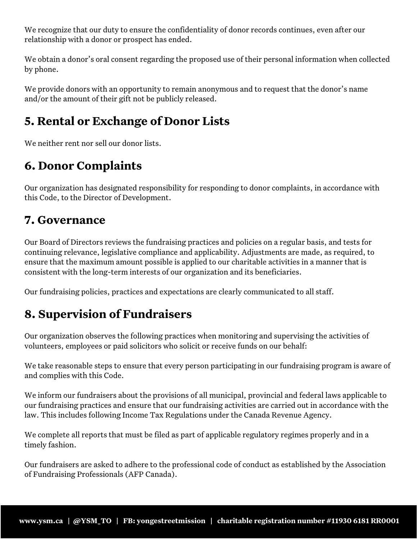We recognize that our duty to ensure the confidentiality of donor records continues, even after our relationship with a donor or prospect has ended.

We obtain a donor's oral consent regarding the proposed use of their personal information when collected by phone.

We provide donors with an opportunity to remain anonymous and to request that the donor's name and/or the amount of their gift not be publicly released.

## **5. Rental or Exchange of Donor Lists**

We neither rent nor sell our donor lists.

#### **6. Donor Complaints**

Our organization has designated responsibility for responding to donor complaints, in accordance with this Code, to the Director of Development.

#### **7. Governance**

Our Board of Directors reviews the fundraising practices and policies on a regular basis, and tests for continuing relevance, legislative compliance and applicability. Adjustments are made, as required, to ensure that the maximum amount possible is applied to our charitable activities in a manner that is consistent with the long-term interests of our organization and its beneficiaries.

Our fundraising policies, practices and expectations are clearly communicated to all staff.

## **8. Supervision of Fundraisers**

Our organization observes the following practices when monitoring and supervising the activities of volunteers, employees or paid solicitors who solicit or receive funds on our behalf:

We take reasonable steps to ensure that every person participating in our fundraising program is aware of and complies with this Code.

We inform our fundraisers about the provisions of all municipal, provincial and federal laws applicable to our fundraising practices and ensure that our fundraising activities are carried out in accordance with the law. This includes following Income Tax Regulations under the Canada Revenue Agency.

We complete all reports that must be filed as part of applicable regulatory regimes properly and in a timely fashion.

Our fundraisers are asked to adhere to the professional code of conduct as established by the Association of Fundraising Professionals (AFP Canada).